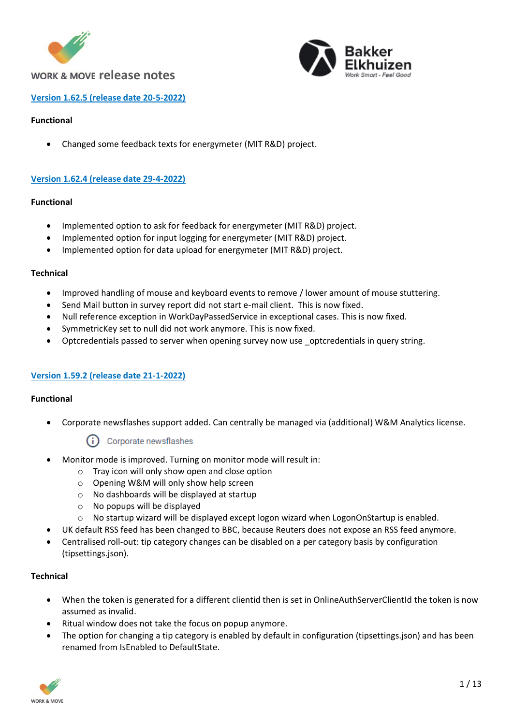



### **Version 1.62.5 (release date 20-5-2022)**

### **Functional**

• Changed some feedback texts for energymeter (MIT R&D) project.

### **Version 1.62.4 (release date 29-4-2022)**

### **Functional**

- Implemented option to ask for feedback for energymeter (MIT R&D) project.
- Implemented option for input logging for energymeter (MIT R&D) project.
- Implemented option for data upload for energymeter (MIT R&D) project.

### **Technical**

- Improved handling of mouse and keyboard events to remove / lower amount of mouse stuttering.
- Send Mail button in survey report did not start e-mail client. This is now fixed.
- Null reference exception in WorkDayPassedService in exceptional cases. This is now fixed.
- SymmetricKey set to null did not work anymore. This is now fixed.
- Optcredentials passed to server when opening survey now use optcredentials in query string.

### **Version 1.59.2 (release date 21-1-2022)**

### **Functional**

• Corporate newsflashes support added. Can centrally be managed via (additional) W&M Analytics license.

### Corporate newsflashes

- Monitor mode is improved. Turning on monitor mode will result in:
	- o Tray icon will only show open and close option
	- o Opening W&M will only show help screen
	- o No dashboards will be displayed at startup
	- o No popups will be displayed
	- $\circ$  No startup wizard will be displayed except logon wizard when LogonOnStartup is enabled.
- UK default RSS feed has been changed to BBC, because Reuters does not expose an RSS feed anymore.
- Centralised roll-out: tip category changes can be disabled on a per category basis by configuration (tipsettings.json).

### **Technical**

- When the token is generated for a different clientid then is set in OnlineAuthServerClientId the token is now assumed as invalid.
- Ritual window does not take the focus on popup anymore.
- The option for changing a tip category is enabled by default in configuration (tipsettings.json) and has been renamed from IsEnabled to DefaultState.

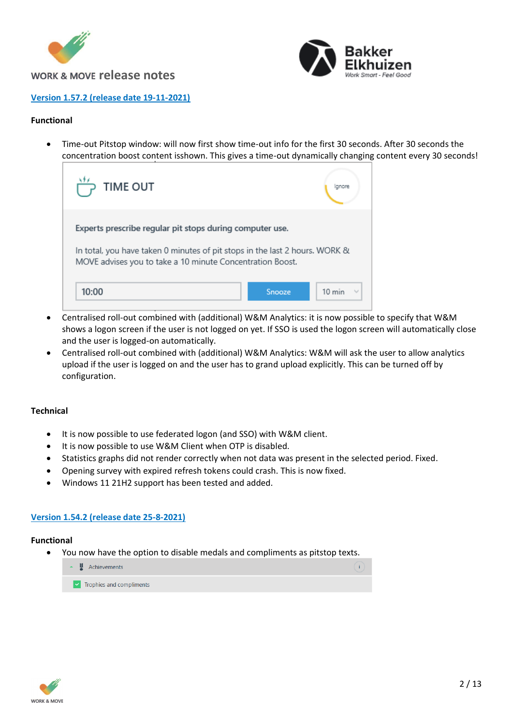



### **Version 1.57.2 (release date 19-11-2021)**

### **Functional**

• Time-out Pitstop window: will now first show time-out info for the first 30 seconds. After 30 seconds the concentration boost content isshown. This gives a time-out dynamically changing content every 30 seconds!

| <b>TIME OUT</b>                                                                                                                          |                  |
|------------------------------------------------------------------------------------------------------------------------------------------|------------------|
| Experts prescribe regular pit stops during computer use.                                                                                 |                  |
| In total, you have taken 0 minutes of pit stops in the last 2 hours. WORK &<br>MOVE advises you to take a 10 minute Concentration Boost. |                  |
| 10:00<br>Snooze                                                                                                                          | $10 \text{ min}$ |

- Centralised roll-out combined with (additional) W&M Analytics: it is now possible to specify that W&M shows a logon screen if the user is not logged on yet. If SSO is used the logon screen will automatically close and the user is logged-on automatically.
- Centralised roll-out combined with (additional) W&M Analytics: W&M will ask the user to allow analytics upload if the user is logged on and the user has to grand upload explicitly. This can be turned off by configuration.

### **Technical**

- It is now possible to use federated logon (and SSO) with W&M client.
- It is now possible to use W&M Client when OTP is disabled.
- Statistics graphs did not render correctly when not data was present in the selected period. Fixed.
- Opening survey with expired refresh tokens could crash. This is now fixed.
- Windows 11 21H2 support has been tested and added.

### **Version 1.54.2 (release date 25-8-2021)**

#### **Functional**

• You now have the option to disable medals and compliments as pitstop texts.



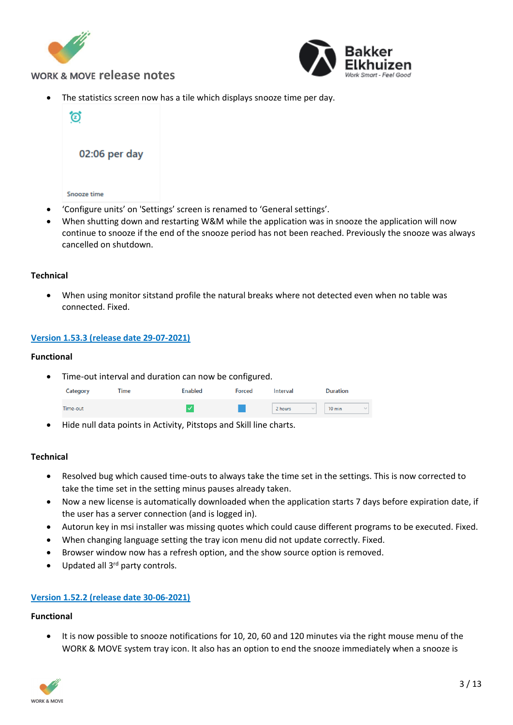



The statistics screen now has a tile which displays snooze time per day.



When shutting down and restarting W&M while the application was in snooze the application will now continue to snooze if the end of the snooze period has not been reached. Previously the snooze was always cancelled on shutdown.

### **Technical**

• When using monitor sitstand profile the natural breaks where not detected even when no table was connected. Fixed.

### **Version 1.53.3 (release date 29-07-2021)**

#### **Functional**

• Time-out interval and duration can now be configured.

| Category | <b>Time</b> | <b>Enabled</b> | <b>Forced</b> | Interval | <b>Duration</b>                  |
|----------|-------------|----------------|---------------|----------|----------------------------------|
| Time-out |             |                |               | 2 hours  | $10 \text{ min}$<br>$\checkmark$ |

• Hide null data points in Activity, Pitstops and Skill line charts.

### **Technical**

- Resolved bug which caused time-outs to always take the time set in the settings. This is now corrected to take the time set in the setting minus pauses already taken.
- Now a new license is automatically downloaded when the application starts 7 days before expiration date, if the user has a server connection (and is logged in).
- Autorun key in msi installer was missing quotes which could cause different programs to be executed. Fixed.
- When changing language setting the tray icon menu did not update correctly. Fixed.
- Browser window now has a refresh option, and the show source option is removed.
- Updated all 3<sup>rd</sup> party controls.

### **Version 1.52.2 (release date 30-06-2021)**

### **Functional**

• It is now possible to snooze notifications for 10, 20, 60 and 120 minutes via the right mouse menu of the WORK & MOVE system tray icon. It also has an option to end the snooze immediately when a snooze is

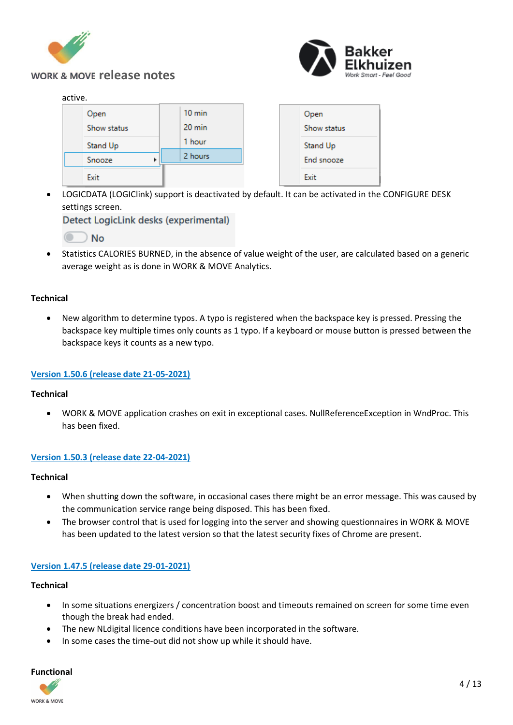



### active.

| ------- |                     |  |                            |  |                     |
|---------|---------------------|--|----------------------------|--|---------------------|
|         | Open<br>Show status |  | $10 \text{ min}$<br>20 min |  | Open<br>Show status |
|         | Stand Up            |  | 1 hour                     |  | Stand Up            |
|         | Snooze<br>r         |  | 2 hours                    |  | End snooze          |
|         | Exit                |  |                            |  | Exit                |

• LOGICDATA (LOGIClink) support is deactivated by default. It can be activated in the CONFIGURE DESK settings screen.

Detect LogicLink desks (experimental)

• Statistics CALORIES BURNED, in the absence of value weight of the user, are calculated based on a generic average weight as is done in WORK & MOVE Analytics.

### **Technical**

• New algorithm to determine typos. A typo is registered when the backspace key is pressed. Pressing the backspace key multiple times only counts as 1 typo. If a keyboard or mouse button is pressed between the backspace keys it counts as a new typo.

### **Version 1.50.6 (release date 21-05-2021)**

### **Technical**

• WORK & MOVE application crashes on exit in exceptional cases. NullReferenceException in WndProc. This has been fixed.

### **Version 1.50.3 (release date 22-04-2021)**

### **Technical**

- When shutting down the software, in occasional cases there might be an error message. This was caused by the communication service range being disposed. This has been fixed.
- The browser control that is used for logging into the server and showing questionnaires in WORK & MOVE has been updated to the latest version so that the latest security fixes of Chrome are present.

### **Version 1.47.5 (release date 29-01-2021)**

### **Technical**

- In some situations energizers / concentration boost and timeouts remained on screen for some time even though the break had ended.
- The new NLdigital licence conditions have been incorporated in the software.
- In some cases the time-out did not show up while it should have.

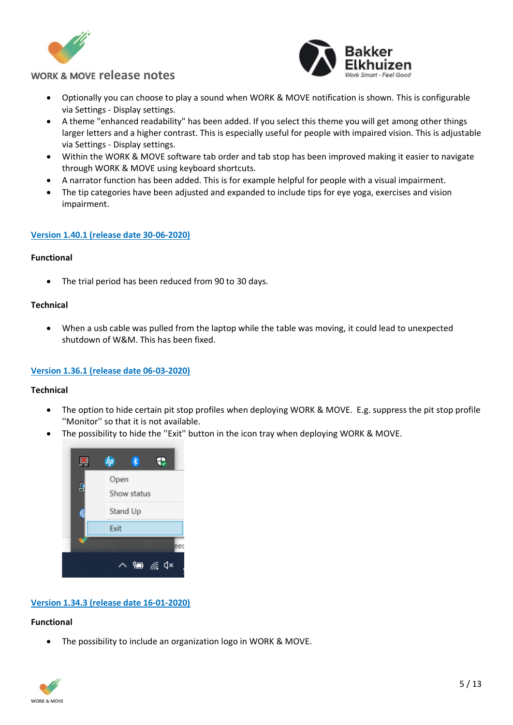



- Optionally you can choose to play a sound when WORK & MOVE notification is shown. This is configurable via Settings - Display settings.
- A theme "enhanced readability" has been added. If you select this theme you will get among other things larger letters and a higher contrast. This is especially useful for people with impaired vision. This is adjustable via Settings - Display settings.
- Within the WORK & MOVE software tab order and tab stop has been improved making it easier to navigate through WORK & MOVE using keyboard shortcuts.
- A narrator function has been added. This is for example helpful for people with a visual impairment.
- The tip categories have been adjusted and expanded to include tips for eye yoga, exercises and vision impairment.

### **Version 1.40.1 (release date 30-06-2020)**

### **Functional**

• The trial period has been reduced from 90 to 30 days.

### **Technical**

• When a usb cable was pulled from the laptop while the table was moving, it could lead to unexpected shutdown of W&M. This has been fixed.

### **Version 1.36.1 (release date 06-03-2020)**

### **Technical**

- The option to hide certain pit stop profiles when deploying WORK & MOVE. E.g. suppress the pit stop profile ''Monitor'' so that it is not available.
- The possibility to hide the "Exit" button in the icon tray when deploying WORK & MOVE.



### **Version 1.34.3 (release date 16-01-2020)**

### **Functional**

The possibility to include an organization logo in WORK & MOVE.

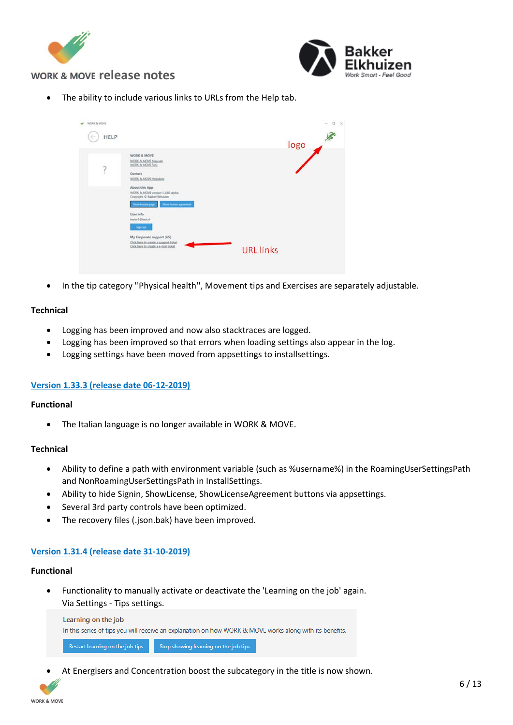



• The ability to include various links to URLs from the Help tab.

| WORK & MOVE<br><b>HELP</b> |                                                                                                                                                                                                                                         |                  | $\Box$<br>$\infty$<br>$-1$<br>logo |
|----------------------------|-----------------------------------------------------------------------------------------------------------------------------------------------------------------------------------------------------------------------------------------|------------------|------------------------------------|
| ţ                          | WORK & MOVE<br>WORK & MOVE Manuals<br>WORK & MOVE FAQ<br>Contact<br>WORK & MOVE Helpdesk<br>About this App<br>WORK & MOVE version 1.34.0-alpha<br>Copyright © BakkerElkhuizen<br>Show kismur agreement<br>Show hismer page<br>User info |                  |                                    |
|                            | tester1@test.nl<br><b>Sign out</b><br>My Corporate support (US)<br>Click here to create a support ticket<br>Click here to create a e-mail ticket                                                                                        | <b>URL</b> links |                                    |

• In the tip category ''Physical health'', Movement tips and Exercises are separately adjustable.

### **Technical**

- Logging has been improved and now also stacktraces are logged.
- Logging has been improved so that errors when loading settings also appear in the log.
- Logging settings have been moved from appsettings to installsettings.

### **Version 1.33.3 (release date 06-12-2019)**

#### **Functional**

• The Italian language is no longer available in WORK & MOVE.

### **Technical**

- Ability to define a path with environment variable (such as %username%) in the RoamingUserSettingsPath and NonRoamingUserSettingsPath in InstallSettings.
- Ability to hide Signin, ShowLicense, ShowLicenseAgreement buttons via appsettings.
- Several 3rd party controls have been optimized.
- The recovery files (.json.bak) have been improved.

### **Version 1.31.4 (release date 31-10-2019)**

#### **Functional**

• Functionality to manually activate or deactivate the 'Learning on the job' again. Via Settings - Tips settings.

| Restart learning on the job tips | Stop showing learning on the job tips                                                                    |  |
|----------------------------------|----------------------------------------------------------------------------------------------------------|--|
|                                  | In this series of tips you will receive an explanation on how WORK & MOVE works along with its benefits. |  |
| Learning on the job              |                                                                                                          |  |

At Energisers and Concentration boost the subcategory in the title is now shown.

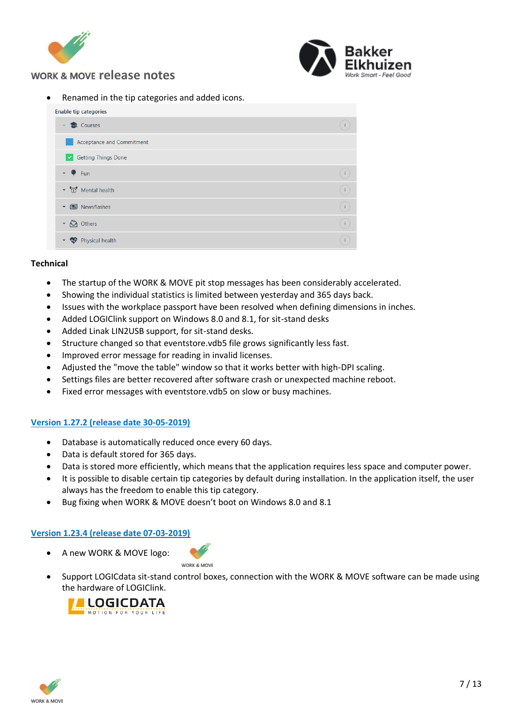



• Renamed in the tip categories and added icons.

| <b>Enable tip categories</b>            |  |
|-----------------------------------------|--|
| <b>M</b> Courses                        |  |
| Acceptance and Commitment               |  |
| Getting Things Done                     |  |
| $ \bullet$<br>Fun                       |  |
| ▼ T Mental health                       |  |
| <b>图</b> Newsflashes<br>$\mathbf{v}$    |  |
| <b>心</b> Others<br>$\blacktriangledown$ |  |
| Physical health                         |  |

#### **Technical**

- The startup of the WORK & MOVE pit stop messages has been considerably accelerated.
- Showing the individual statistics is limited between yesterday and 365 days back.
- Issues with the workplace passport have been resolved when defining dimensions in inches.
- Added LOGIClink support on Windows 8.0 and 8.1, for sit-stand desks
- Added Linak LIN2USB support, for sit-stand desks.
- Structure changed so that eventstore.vdb5 file grows significantly less fast.
- Improved error message for reading in invalid licenses.
- Adjusted the "move the table" window so that it works better with high-DPI scaling.
- Settings files are better recovered after software crash or unexpected machine reboot.
- Fixed error messages with eventstore.vdb5 on slow or busy machines.

### **Version 1.27.2 (release date 30-05-2019)**

- Database is automatically reduced once every 60 days.
- Data is default stored for 365 days.
- Data is stored more efficiently, which means that the application requires less space and computer power.
- It is possible to disable certain tip categories by default during installation. In the application itself, the user always has the freedom to enable this tip category.
- Bug fixing when WORK & MOVE doesn't boot on Windows 8.0 and 8.1

### **Version 1.23.4 (release date 07-03-2019)**

• A new WORK & MOVE logo:

WORK & MOVE

• Support LOGICdata sit-stand control boxes, connection with the WORK & MOVE software can be made using the hardware of LOGIClink.



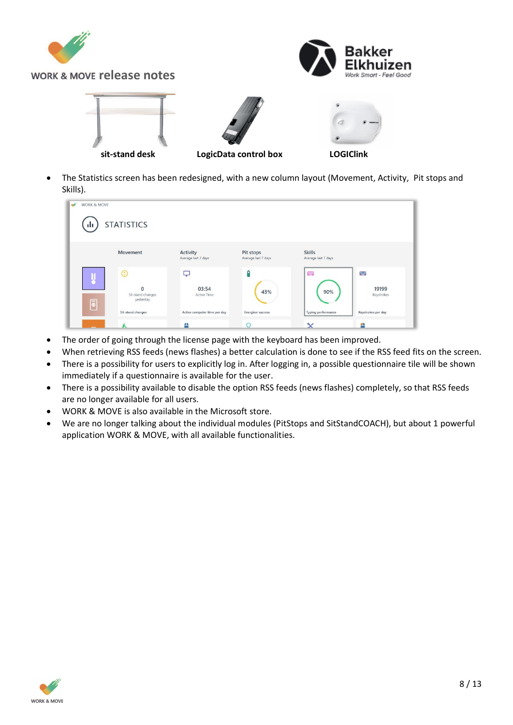

• The Statistics screen has been redesigned, with a new column layout (Movement, Activity, Pit stops and Skills).



- The order of going through the license page with the keyboard has been improved.
- When retrieving RSS feeds (news flashes) a better calculation is done to see if the RSS feed fits on the screen.
- There is a possibility for users to explicitly log in. After logging in, a possible questionnaire tile will be shown immediately if a questionnaire is available for the user.
- There is a possibility available to disable the option RSS feeds (news flashes) completely, so that RSS feeds are no longer available for all users.
- WORK & MOVE is also available in the Microsoft store.
- We are no longer talking about the individual modules (PitStops and SitStandCOACH), but about 1 powerful application WORK & MOVE, with all available functionalities.

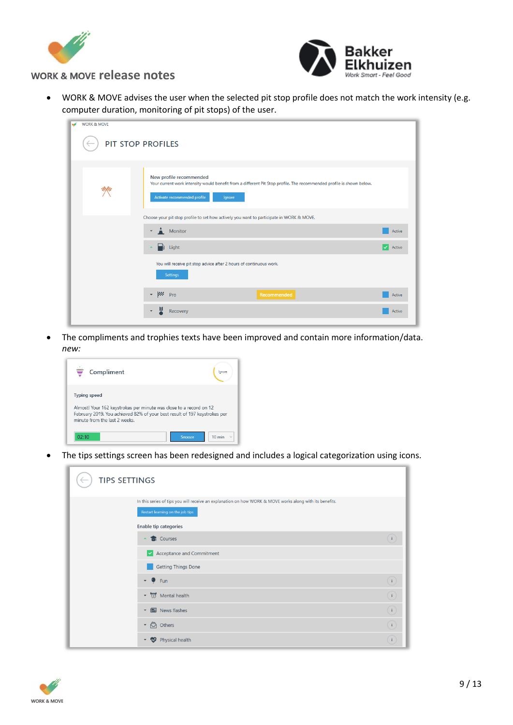



• WORK & MOVE advises the user when the selected pit stop profile does not match the work intensity (e.g. computer duration, monitoring of pit stops) of the user.

| <b>WORK &amp; MOVE</b> |                                                                                                                                                                                           |                        |
|------------------------|-------------------------------------------------------------------------------------------------------------------------------------------------------------------------------------------|------------------------|
|                        | PIT STOP PROFILES                                                                                                                                                                         |                        |
|                        |                                                                                                                                                                                           |                        |
|                        | New profile recommended<br>Your current work intensity would benefit from a different Pit Stop profile. The recommended profile is shown below.<br>Activate recommended profile<br>lgnore |                        |
|                        | Choose your pit stop profile to set how actively you want to participate in WORK & MOVE.                                                                                                  |                        |
|                        | $M$ Monitor<br>$\blacktriangledown$                                                                                                                                                       | Active                 |
|                        | $\Box$ Light                                                                                                                                                                              | Active<br>$\checkmark$ |
|                        | You will receive pit stop advice after 2 hours of continuous work.<br>Settings                                                                                                            |                        |
|                        | $\bullet$ $\cancel{\text{pos}}$ $\cancel{\text{pro}}$<br>Recommended                                                                                                                      | Active                 |
|                        | Recovery                                                                                                                                                                                  | Active                 |

• The compliments and trophies texts have been improved and contain more information/data. *new:* 



• The tips settings screen has been redesigned and includes a logical categorization using icons.

| <b>TIPS SETTINGS</b> |                                                                                                                                              |                                                                                                                                                         |
|----------------------|----------------------------------------------------------------------------------------------------------------------------------------------|---------------------------------------------------------------------------------------------------------------------------------------------------------|
|                      | In this series of tips you will receive an explanation on how WORK & MOVE works along with its benefits.<br>Restart learning on the job tips |                                                                                                                                                         |
|                      | <b>Enable tip categories</b>                                                                                                                 |                                                                                                                                                         |
|                      | <b>1</b> Courses                                                                                                                             |                                                                                                                                                         |
|                      | $\blacktriangleright$ Acceptance and Commitment                                                                                              |                                                                                                                                                         |
|                      | <b>Getting Things Done</b>                                                                                                                   |                                                                                                                                                         |
|                      | $\sim$ $\bullet$ Fun                                                                                                                         |                                                                                                                                                         |
|                      | ▼ T Mental health                                                                                                                            | $\begin{tabular}{ c c c c c } \hline $\Theta$ & $\Theta$ & $\Theta$ \\ \hline \hline $\Theta$ & $\Theta$ & $\Theta$ & $\Theta$ \\ \hline \end{tabular}$ |
|                      | News flashes<br>$\blacktriangledown$                                                                                                         |                                                                                                                                                         |
|                      | • 高 Others                                                                                                                                   |                                                                                                                                                         |
|                      | Physical health                                                                                                                              |                                                                                                                                                         |

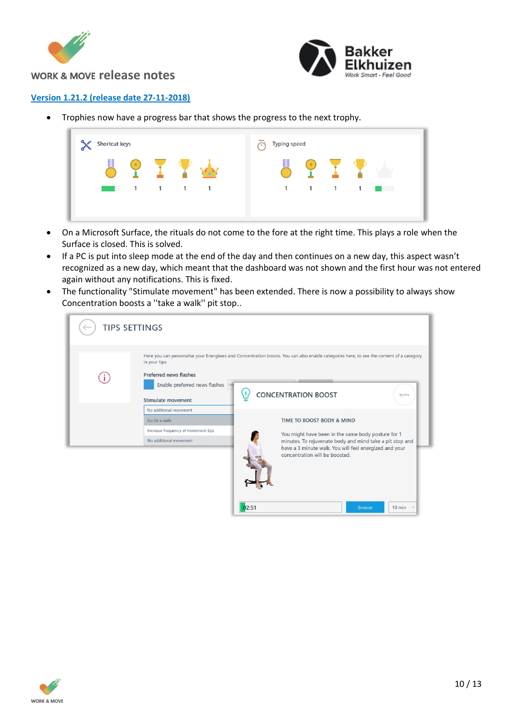



### **Version 1.21.2 (release date 27-11-2018)**

• Trophies now have a progress bar that shows the progress to the next trophy.

| <b>Shortcut keys</b>                                      | $\overline{\phantom{a}}$<br><b>Typing speed</b><br>⌒ |
|-----------------------------------------------------------|------------------------------------------------------|
| 1<br>$\mathbf{1}$<br>$\sim$ 1.1<br><b>Service Service</b> | 1<br>1<br>1.<br>1                                    |
|                                                           |                                                      |

- On a Microsoft Surface, the rituals do not come to the fore at the right time. This plays a role when the Surface is closed. This is solved.
- If a PC is put into sleep mode at the end of the day and then continues on a new day, this aspect wasn't recognized as a new day, which meant that the dashboard was not shown and the first hour was not entered again without any notifications. This is fixed.
- The functionality "Stimulate movement" has been extended. There is now a possibility to always show Concentration boosts a ''take a walk'' pit stop..

| <b>TIPS SETTINGS</b>                                                               |                                                                                                                                             |
|------------------------------------------------------------------------------------|---------------------------------------------------------------------------------------------------------------------------------------------|
| in your tips.<br><b>Preferred news flashes</b><br>Enable preferred news flashes ht | Here you can personalise your Energisers and Concentration boosts. You can also enable categories here, to see the content of a category    |
| Stimulate movement<br>No additional movement                                       | <b>CONCENTRATION BOOST</b><br>lgnore                                                                                                        |
| Go for a walk<br>Increase frequency of movement tips<br>No additional movement     | TIME TO BOOST BODY & MIND<br>You might have been in the same body posture for 1<br>minutes. To rejuvenate body and mind take a pit stop and |
|                                                                                    | have a 3 minute walk. You will feel energized and your<br>concentration will be boosted.                                                    |

 $02:51$ 



 $10 min$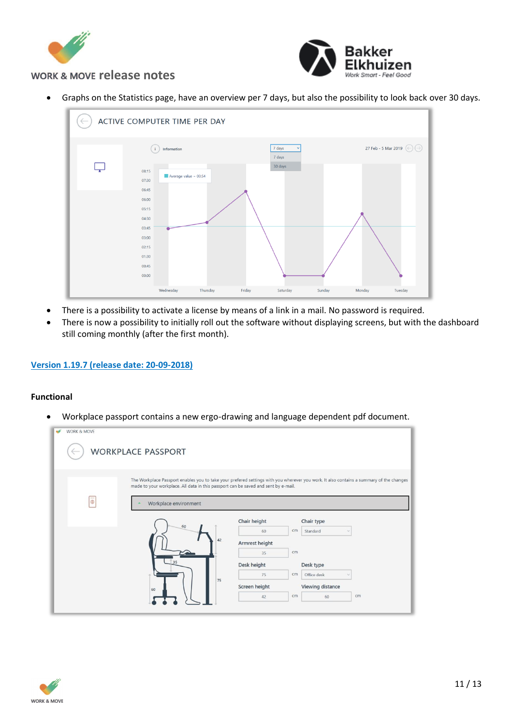



• Graphs on the Statistics page, have an overview per 7 days, but also the possibility to look back over 30 days.



- There is a possibility to activate a license by means of a link in a mail. No password is required.
- There is now a possibility to initially roll out the software without displaying screens, but with the dashboard still coming monthly (after the first month).

### **Version 1.19.7 (release date: 20-09-2018)**

#### **Functional**

• Workplace passport contains a new ergo-drawing and language dependent pdf document.

| <b>WORK &amp; MOVE</b><br><b>WORKPLACE PASSPORT</b>                                                                     |                                                                                                                                         |
|-------------------------------------------------------------------------------------------------------------------------|-----------------------------------------------------------------------------------------------------------------------------------------|
| made to your workplace. All data in this passport can be saved and sent by e-mail.<br>$\equiv$<br>Workplace environment | The Workplace Passport enables you to take your prefered settings with you wherever you work. It also contains a summary of the changes |
| 60                                                                                                                      | Chair height<br>Chair type                                                                                                              |
|                                                                                                                         | cm<br>Standard<br>60<br>42                                                                                                              |
|                                                                                                                         | Armrest height<br>cm<br>35                                                                                                              |
| 35                                                                                                                      | Desk height<br>Desk type                                                                                                                |
|                                                                                                                         | 75<br>cm<br>Office desk                                                                                                                 |
|                                                                                                                         | 75<br>Screen height<br>Viewing distance                                                                                                 |
| 60                                                                                                                      | cm<br>cm<br>60<br>42                                                                                                                    |
|                                                                                                                         |                                                                                                                                         |

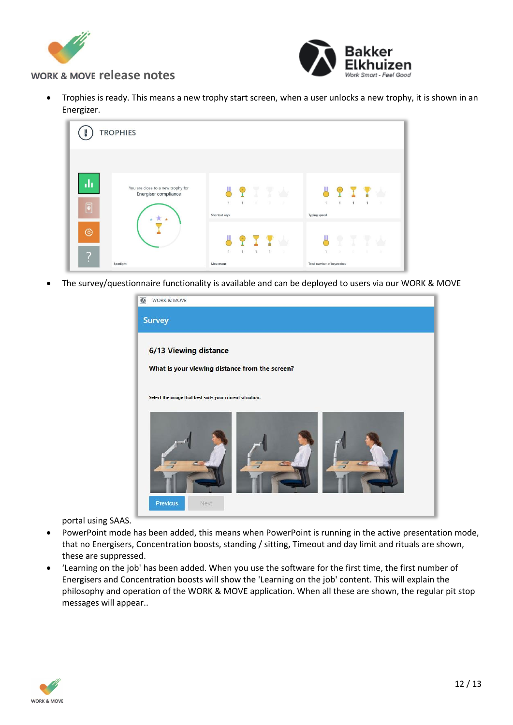



• Trophies is ready. This means a new trophy start screen, when a user unlocks a new trophy, it is shown in an Energizer.



• The survey/questionnaire functionality is available and can be deployed to users via our WORK & MOVE



portal using SAAS.

- PowerPoint mode has been added, this means when PowerPoint is running in the active presentation mode, that no Energisers, Concentration boosts, standing / sitting, Timeout and day limit and rituals are shown, these are suppressed.
- 'Learning on the job' has been added. When you use the software for the first time, the first number of Energisers and Concentration boosts will show the 'Learning on the job' content. This will explain the philosophy and operation of the WORK & MOVE application. When all these are shown, the regular pit stop messages will appear..